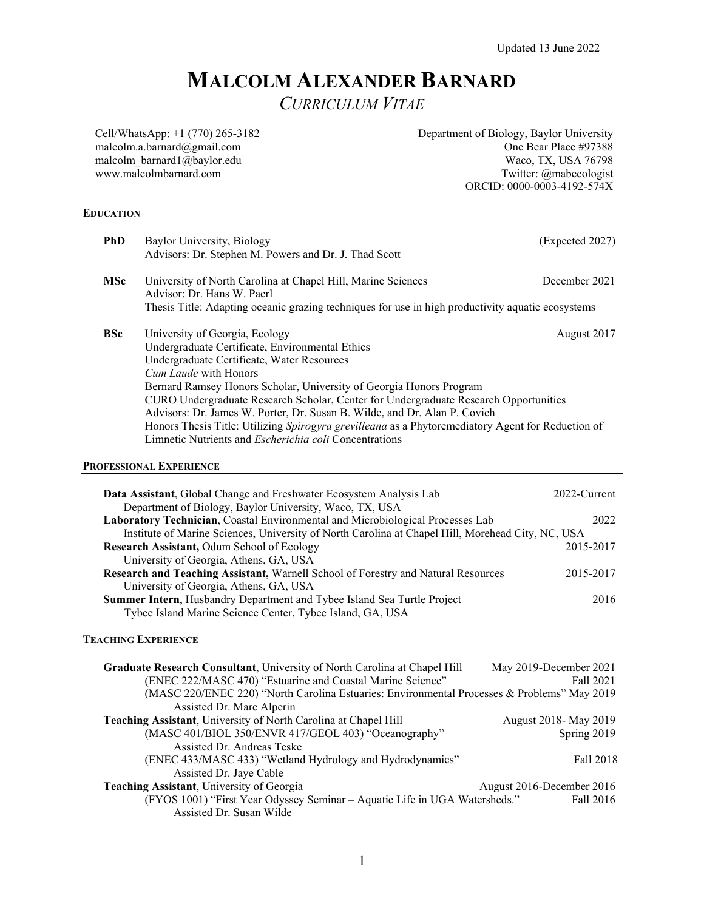# **MALCOLM ALEXANDER BARNARD**

*CURRICULUM VITAE* 

Cell/WhatsApp: +1 (770) 265-3182 malcolm.a.barnard@gmail.com malcolm\_barnard1@baylor.edu www.malcolmbarnard.com

Department of Biology, Baylor University One Bear Place #97388 Waco, TX, USA 76798 Twitter: @mabecologist ORCID: 0000-0003-4192-574X

## **EDUCATION**

| <b>PhD</b> | Baylor University, Biology<br>Advisors: Dr. Stephen M. Powers and Dr. J. Thad Scott                                                                                                                                                                                                                                                                                                                                                                                                                                                                                                              | (Expected 2027)      |
|------------|--------------------------------------------------------------------------------------------------------------------------------------------------------------------------------------------------------------------------------------------------------------------------------------------------------------------------------------------------------------------------------------------------------------------------------------------------------------------------------------------------------------------------------------------------------------------------------------------------|----------------------|
| <b>MSc</b> | University of North Carolina at Chapel Hill, Marine Sciences<br>Advisor: Dr. Hans W. Paerl                                                                                                                                                                                                                                                                                                                                                                                                                                                                                                       | December 2021        |
|            | Thesis Title: Adapting oceanic grazing techniques for use in high productivity aquatic ecosystems                                                                                                                                                                                                                                                                                                                                                                                                                                                                                                |                      |
| <b>BSc</b> | University of Georgia, Ecology<br>August 2017<br>Undergraduate Certificate, Environmental Ethics<br>Undergraduate Certificate, Water Resources<br><i>Cum Laude</i> with Honors<br>Bernard Ramsey Honors Scholar, University of Georgia Honors Program<br>CURO Undergraduate Research Scholar, Center for Undergraduate Research Opportunities<br>Advisors: Dr. James W. Porter, Dr. Susan B. Wilde, and Dr. Alan P. Covich<br>Honors Thesis Title: Utilizing Spirogyra grevilleana as a Phytoremediatory Agent for Reduction of<br>Limnetic Nutrients and <i>Escherichia coli</i> Concentrations |                      |
|            | <b>PROFESSIONAL EXPERIENCE</b>                                                                                                                                                                                                                                                                                                                                                                                                                                                                                                                                                                   |                      |
|            | Data Assistant, Global Change and Freshwater Ecosystem Analysis Lab<br>Department of Biology, Baylor University, Waco, TX, USA<br>Laboratory Technician, Coastal Environmental and Microbiological Processes Lab                                                                                                                                                                                                                                                                                                                                                                                 | 2022-Current<br>2022 |
|            | Institute of Marine Sciences, University of North Carolina at Chapel Hill, Morehead City, NC, USA                                                                                                                                                                                                                                                                                                                                                                                                                                                                                                |                      |
|            | Research Assistant, Odum School of Ecology<br>University of Georgia, Athens, GA, USA                                                                                                                                                                                                                                                                                                                                                                                                                                                                                                             | 2015-2017            |
|            | Research and Teaching Assistant, Warnell School of Forestry and Natural Resources<br>University of Georgia, Athens, GA, USA                                                                                                                                                                                                                                                                                                                                                                                                                                                                      | 2015-2017            |
|            | Summer Intern, Husbandry Department and Tybee Island Sea Turtle Project                                                                                                                                                                                                                                                                                                                                                                                                                                                                                                                          | 2016                 |

# **TEACHING EXPERIENCE**

| Graduate Research Consultant, University of North Carolina at Chapel Hill                   | May 2019-December 2021    |
|---------------------------------------------------------------------------------------------|---------------------------|
| (ENEC 222/MASC 470) "Estuarine and Coastal Marine Science"                                  | Fall 2021                 |
| (MASC 220/ENEC 220) "North Carolina Estuaries: Environmental Processes & Problems" May 2019 |                           |
| Assisted Dr. Marc Alperin                                                                   |                           |
| Teaching Assistant, University of North Carolina at Chapel Hill                             | August 2018- May 2019     |
| (MASC 401/BIOL 350/ENVR 417/GEOL 403) "Oceanography"                                        | Spring 2019               |
| Assisted Dr. Andreas Teske                                                                  |                           |
| (ENEC 433/MASC 433) "Wetland Hydrology and Hydrodynamics"                                   | Fall 2018                 |
| Assisted Dr. Jaye Cable                                                                     |                           |
| Teaching Assistant, University of Georgia                                                   | August 2016-December 2016 |
| (FYOS 1001) "First Year Odyssey Seminar - Aquatic Life in UGA Watersheds."                  | Fall 2016                 |
| Assisted Dr. Susan Wilde                                                                    |                           |

Tybee Island Marine Science Center, Tybee Island, GA, USA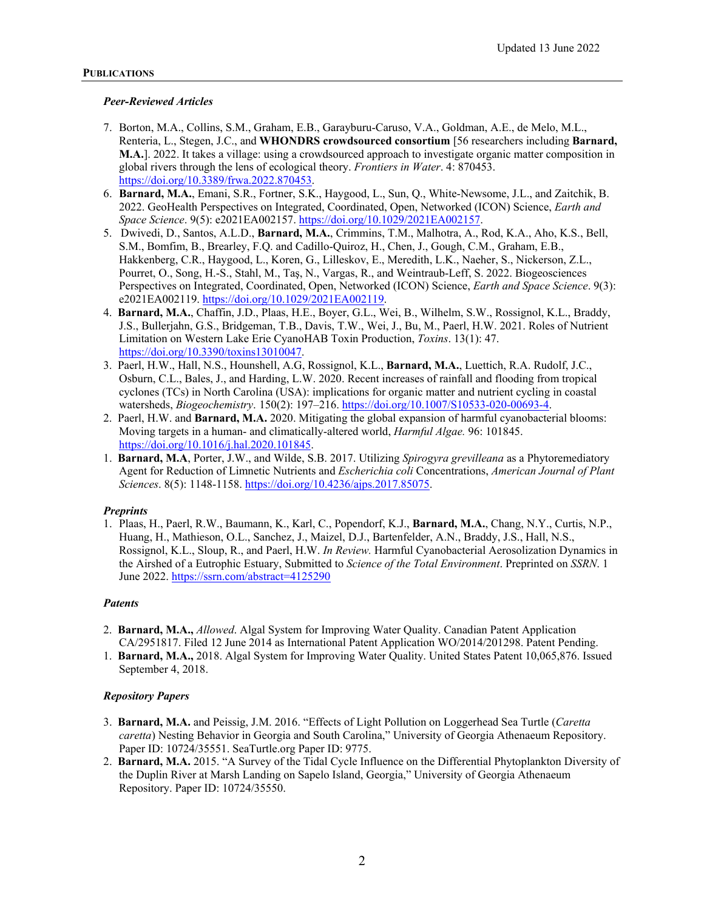## *Peer-Reviewed Articles*

- 7. Borton, M.A., Collins, S.M., Graham, E.B., Garayburu-Caruso, V.A., Goldman, A.E., de Melo, M.L., Renteria, L., Stegen, J.C., and **WHONDRS crowdsourced consortium** [56 researchers including **Barnard, M.A.**]. 2022. It takes a village: using a crowdsourced approach to investigate organic matter composition in global rivers through the lens of ecological theory. *Frontiers in Water*. 4: 870453. https://doi.org/10.3389/frwa.2022.870453.
- 6. **Barnard, M.A.**, Emani, S.R., Fortner, S.K., Haygood, L., Sun, Q., White-Newsome, J.L., and Zaitchik, B. 2022. GeoHealth Perspectives on Integrated, Coordinated, Open, Networked (ICON) Science, *Earth and Space Science*. 9(5): e2021EA002157. https://doi.org/10.1029/2021EA002157.
- 5. Dwivedi, D., Santos, A.L.D., **Barnard, M.A.**, Crimmins, T.M., Malhotra, A., Rod, K.A., Aho, K.S., Bell, S.M., Bomfim, B., Brearley, F.Q. and Cadillo-Quiroz, H., Chen, J., Gough, C.M., Graham, E.B., Hakkenberg, C.R., Haygood, L., Koren, G., Lilleskov, E., Meredith, L.K., Naeher, S., Nickerson, Z.L., Pourret, O., Song, H.-S., Stahl, M., Taş, N., Vargas, R., and Weintraub-Leff, S. 2022. Biogeosciences Perspectives on Integrated, Coordinated, Open, Networked (ICON) Science, *Earth and Space Science*. 9(3): e2021EA002119. https://doi.org/10.1029/2021EA002119.
- 4. **Barnard, M.A.**, Chaffin, J.D., Plaas, H.E., Boyer, G.L., Wei, B., Wilhelm, S.W., Rossignol, K.L., Braddy, J.S., Bullerjahn, G.S., Bridgeman, T.B., Davis, T.W., Wei, J., Bu, M., Paerl, H.W. 2021. Roles of Nutrient Limitation on Western Lake Erie CyanoHAB Toxin Production, *Toxins*. 13(1): 47. https://doi.org/10.3390/toxins13010047.
- 3. Paerl, H.W., Hall, N.S., Hounshell, A.G, Rossignol, K.L., **Barnard, M.A.**, Luettich, R.A. Rudolf, J.C., Osburn, C.L., Bales, J., and Harding, L.W. 2020. Recent increases of rainfall and flooding from tropical cyclones (TCs) in North Carolina (USA): implications for organic matter and nutrient cycling in coastal watersheds, *Biogeochemistry*. 150(2): 197–216. https://doi.org/10.1007/S10533-020-00693-4.
- 2. Paerl, H.W. and **Barnard, M.A.** 2020. Mitigating the global expansion of harmful cyanobacterial blooms: Moving targets in a human- and climatically-altered world, *Harmful Algae.* 96: 101845. https://doi.org/10.1016/j.hal.2020.101845.
- 1. **Barnard, M.A**, Porter, J.W., and Wilde, S.B. 2017. Utilizing *Spirogyra grevilleana* as a Phytoremediatory Agent for Reduction of Limnetic Nutrients and *Escherichia coli* Concentrations, *American Journal of Plant Sciences*. 8(5): 1148-1158. https://doi.org/10.4236/ajps.2017.85075.

# *Preprints*

1. Plaas, H., Paerl, R.W., Baumann, K., Karl, C., Popendorf, K.J., **Barnard, M.A.**, Chang, N.Y., Curtis, N.P., Huang, H., Mathieson, O.L., Sanchez, J., Maizel, D.J., Bartenfelder, A.N., Braddy, J.S., Hall, N.S., Rossignol, K.L., Sloup, R., and Paerl, H.W. *In Review.* Harmful Cyanobacterial Aerosolization Dynamics in the Airshed of a Eutrophic Estuary, Submitted to *Science of the Total Environment*. Preprinted on *SSRN*. 1 June 2022. https://ssrn.com/abstract=4125290

#### *Patents*

- 2. **Barnard, M.A.,** *Allowed*. Algal System for Improving Water Quality. Canadian Patent Application CA/2951817. Filed 12 June 2014 as International Patent Application WO/2014/201298. Patent Pending.
- 1. **Barnard, M.A.,** 2018. Algal System for Improving Water Quality. United States Patent 10,065,876. Issued September 4, 2018.

#### *Repository Papers*

- 3. **Barnard, M.A.** and Peissig, J.M. 2016. "Effects of Light Pollution on Loggerhead Sea Turtle (*Caretta caretta*) Nesting Behavior in Georgia and South Carolina," University of Georgia Athenaeum Repository. Paper ID: 10724/35551. SeaTurtle.org Paper ID: 9775.
- 2. **Barnard, M.A.** 2015. "A Survey of the Tidal Cycle Influence on the Differential Phytoplankton Diversity of the Duplin River at Marsh Landing on Sapelo Island, Georgia," University of Georgia Athenaeum Repository. Paper ID: 10724/35550.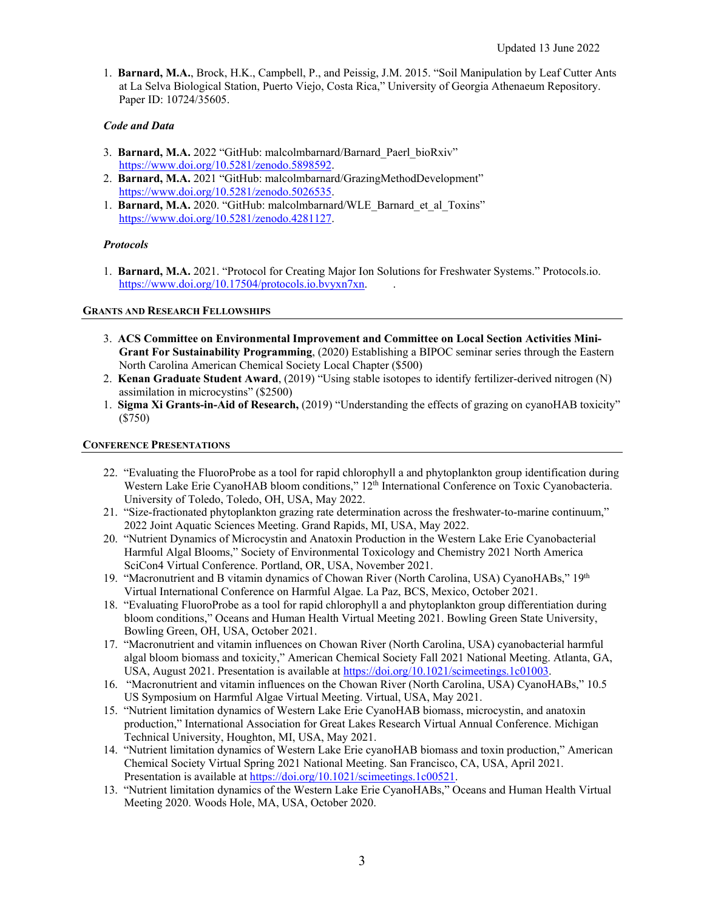1. **Barnard, M.A.**, Brock, H.K., Campbell, P., and Peissig, J.M. 2015. "Soil Manipulation by Leaf Cutter Ants at La Selva Biological Station, Puerto Viejo, Costa Rica," University of Georgia Athenaeum Repository. Paper ID: 10724/35605.

# *Code and Data*

- 3. **Barnard, M.A.** 2022 "GitHub: malcolmbarnard/Barnard Paerl bioRxiv" https://www.doi.org/10.5281/zenodo.5898592.
- 2. **Barnard, M.A.** 2021 "GitHub: malcolmbarnard/GrazingMethodDevelopment" https://www.doi.org/10.5281/zenodo.5026535.
- 1. Barnard, M.A. 2020. "GitHub: malcolmbarnard/WLE\_Barnard\_et\_al\_Toxins" https://www.doi.org/10.5281/zenodo.4281127.

# *Protocols*

1. **Barnard, M.A.** 2021. "Protocol for Creating Major Ion Solutions for Freshwater Systems." Protocols.io. https://www.doi.org/10.17504/protocols.io.bvyxn7xn. .

# **GRANTS AND RESEARCH FELLOWSHIPS**

- 3. **ACS Committee on Environmental Improvement and Committee on Local Section Activities Mini-Grant For Sustainability Programming**, (2020) Establishing a BIPOC seminar series through the Eastern North Carolina American Chemical Society Local Chapter (\$500)
- 2. **Kenan Graduate Student Award**, (2019) "Using stable isotopes to identify fertilizer-derived nitrogen (N) assimilation in microcystins" (\$2500)
- 1. **Sigma Xi Grants-in-Aid of Research,** (2019) "Understanding the effects of grazing on cyanoHAB toxicity" (\$750)

## **CONFERENCE PRESENTATIONS**

- 22."Evaluating the FluoroProbe as a tool for rapid chlorophyll a and phytoplankton group identification during Western Lake Erie CyanoHAB bloom conditions," 12<sup>th</sup> International Conference on Toxic Cyanobacteria. University of Toledo, Toledo, OH, USA, May 2022.
- 21."Size-fractionated phytoplankton grazing rate determination across the freshwater-to-marine continuum," 2022 Joint Aquatic Sciences Meeting. Grand Rapids, MI, USA, May 2022.
- 20."Nutrient Dynamics of Microcystin and Anatoxin Production in the Western Lake Erie Cyanobacterial Harmful Algal Blooms," Society of Environmental Toxicology and Chemistry 2021 North America SciCon4 Virtual Conference. Portland, OR, USA, November 2021.
- 19. **"Macronutrient and B vitamin dynamics of Chowan River (North Carolina, USA) CyanoHABs," 19th** Virtual International Conference on Harmful Algae. La Paz, BCS, Mexico, October 2021.
- 18."Evaluating FluoroProbe as a tool for rapid chlorophyll a and phytoplankton group differentiation during bloom conditions," Oceans and Human Health Virtual Meeting 2021. Bowling Green State University, Bowling Green, OH, USA, October 2021.
- 17."Macronutrient and vitamin influences on Chowan River (North Carolina, USA) cyanobacterial harmful algal bloom biomass and toxicity," American Chemical Society Fall 2021 National Meeting. Atlanta, GA, USA, August 2021. Presentation is available at https://doi.org/10.1021/scimeetings.1c01003.
- 16."Macronutrient and vitamin influences on the Chowan River (North Carolina, USA) CyanoHABs," 10.5 US Symposium on Harmful Algae Virtual Meeting. Virtual, USA, May 2021.
- 15."Nutrient limitation dynamics of Western Lake Erie CyanoHAB biomass, microcystin, and anatoxin production," International Association for Great Lakes Research Virtual Annual Conference. Michigan Technical University, Houghton, MI, USA, May 2021.
- 14."Nutrient limitation dynamics of Western Lake Erie cyanoHAB biomass and toxin production," American Chemical Society Virtual Spring 2021 National Meeting. San Francisco, CA, USA, April 2021. Presentation is available at https://doi.org/10.1021/scimeetings.1c00521.
- 13."Nutrient limitation dynamics of the Western Lake Erie CyanoHABs," Oceans and Human Health Virtual Meeting 2020. Woods Hole, MA, USA, October 2020.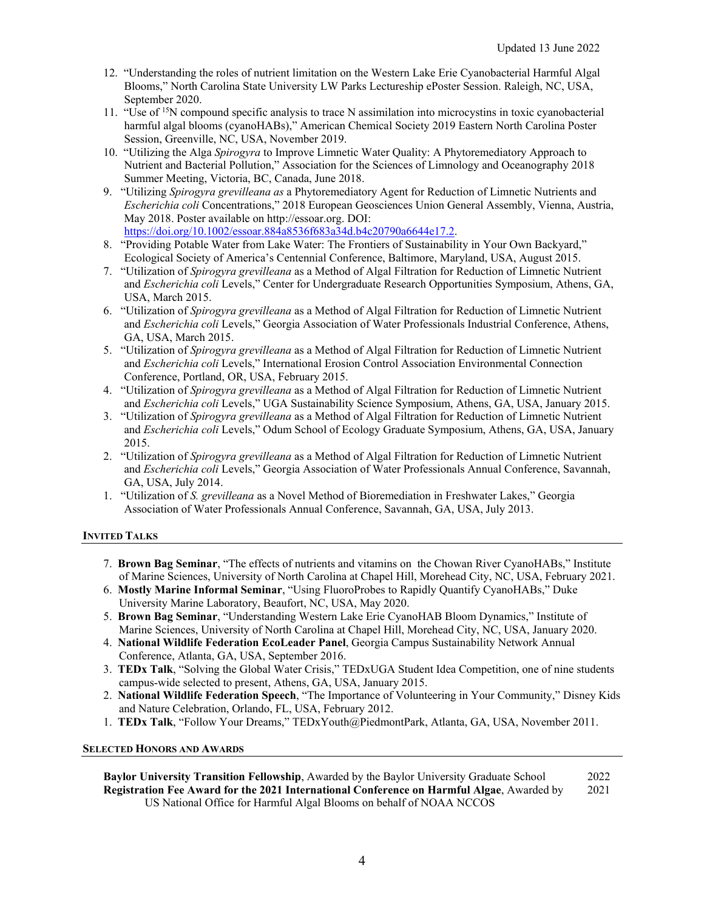- 12."Understanding the roles of nutrient limitation on the Western Lake Erie Cyanobacterial Harmful Algal Blooms," North Carolina State University LW Parks Lectureship ePoster Session. Raleigh, NC, USA, September 2020.
- 11."Use of 15N compound specific analysis to trace N assimilation into microcystins in toxic cyanobacterial harmful algal blooms (cyanoHABs)," American Chemical Society 2019 Eastern North Carolina Poster Session, Greenville, NC, USA, November 2019.
- 10."Utilizing the Alga *Spirogyra* to Improve Limnetic Water Quality: A Phytoremediatory Approach to Nutrient and Bacterial Pollution," Association for the Sciences of Limnology and Oceanography 2018 Summer Meeting, Victoria, BC, Canada, June 2018.
- 9."Utilizing *Spirogyra grevilleana as* a Phytoremediatory Agent for Reduction of Limnetic Nutrients and *Escherichia coli* Concentrations," 2018 European Geosciences Union General Assembly, Vienna, Austria, May 2018. Poster available on http://essoar.org. DOI: https://doi.org/10.1002/essoar.884a8536f683a34d.b4c20790a6644e17.2.
- 8."Providing Potable Water from Lake Water: The Frontiers of Sustainability in Your Own Backyard," Ecological Society of America's Centennial Conference, Baltimore, Maryland, USA, August 2015.
- 7."Utilization of *Spirogyra grevilleana* as a Method of Algal Filtration for Reduction of Limnetic Nutrient and *Escherichia coli* Levels," Center for Undergraduate Research Opportunities Symposium, Athens, GA, USA, March 2015.
- 6."Utilization of *Spirogyra grevilleana* as a Method of Algal Filtration for Reduction of Limnetic Nutrient and *Escherichia coli* Levels," Georgia Association of Water Professionals Industrial Conference, Athens, GA, USA, March 2015.
- 5."Utilization of *Spirogyra grevilleana* as a Method of Algal Filtration for Reduction of Limnetic Nutrient and *Escherichia coli* Levels," International Erosion Control Association Environmental Connection Conference, Portland, OR, USA, February 2015.
- 4."Utilization of *Spirogyra grevilleana* as a Method of Algal Filtration for Reduction of Limnetic Nutrient and *Escherichia coli* Levels," UGA Sustainability Science Symposium, Athens, GA, USA, January 2015.
- 3."Utilization of *Spirogyra grevilleana* as a Method of Algal Filtration for Reduction of Limnetic Nutrient and *Escherichia coli* Levels," Odum School of Ecology Graduate Symposium, Athens, GA, USA, January 2015.
- 2."Utilization of *Spirogyra grevilleana* as a Method of Algal Filtration for Reduction of Limnetic Nutrient and *Escherichia coli* Levels," Georgia Association of Water Professionals Annual Conference, Savannah, GA, USA, July 2014.
- 1."Utilization of *S. grevilleana* as a Novel Method of Bioremediation in Freshwater Lakes," Georgia Association of Water Professionals Annual Conference, Savannah, GA, USA, July 2013.

# **INVITED TALKS**

- 7. **Brown Bag Seminar**, "The effects of nutrients and vitamins on the Chowan River CyanoHABs," Institute of Marine Sciences, University of North Carolina at Chapel Hill, Morehead City, NC, USA, February 2021.
- 6. **Mostly Marine Informal Seminar**, "Using FluoroProbes to Rapidly Quantify CyanoHABs," Duke University Marine Laboratory, Beaufort, NC, USA, May 2020.
- 5. **Brown Bag Seminar**, "Understanding Western Lake Erie CyanoHAB Bloom Dynamics," Institute of Marine Sciences, University of North Carolina at Chapel Hill, Morehead City, NC, USA, January 2020.
- 4. **National Wildlife Federation EcoLeader Panel**, Georgia Campus Sustainability Network Annual Conference, Atlanta, GA, USA, September 2016.
- 3. **TEDx Talk**, "Solving the Global Water Crisis," TEDxUGA Student Idea Competition, one of nine students campus-wide selected to present, Athens, GA, USA, January 2015.
- 2. **National Wildlife Federation Speech**, "The Importance of Volunteering in Your Community," Disney Kids and Nature Celebration, Orlando, FL, USA, February 2012.
- 1. **TEDx Talk**, "Follow Your Dreams," TEDxYouth@PiedmontPark, Atlanta, GA, USA, November 2011.

# **SELECTED HONORS AND AWARDS**

**Baylor University Transition Fellowship**, Awarded by the Baylor University Graduate School 2022 **Registration Fee Award for the 2021 International Conference on Harmful Algae**, Awarded by 2021 US National Office for Harmful Algal Blooms on behalf of NOAA NCCOS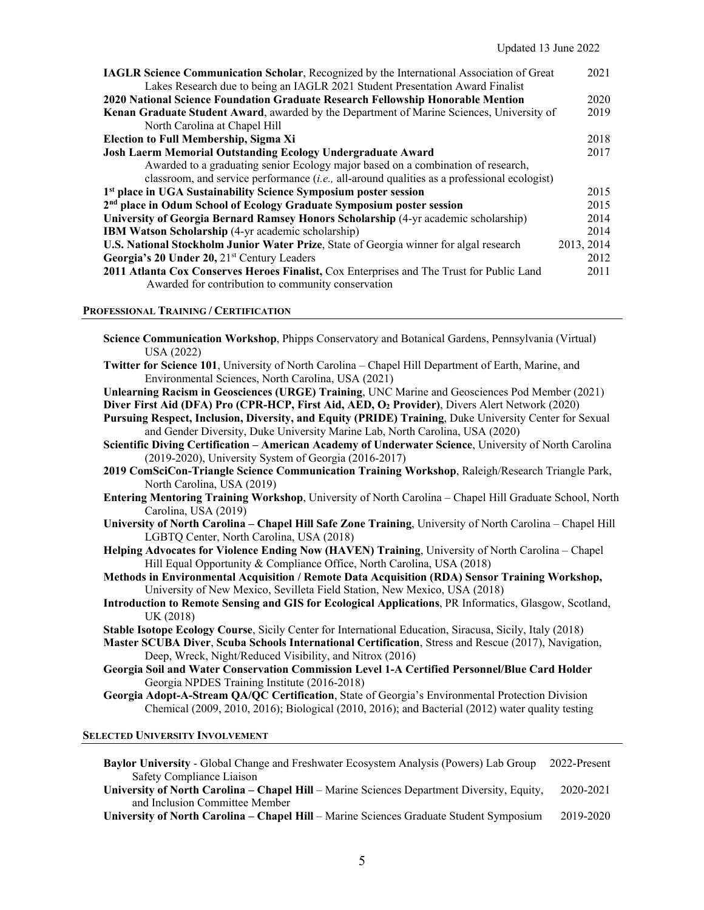| <b>IAGLR Science Communication Scholar, Recognized by the International Association of Great</b> |            |  |
|--------------------------------------------------------------------------------------------------|------------|--|
| Lakes Research due to being an IAGLR 2021 Student Presentation Award Finalist                    | 2020       |  |
| 2020 National Science Foundation Graduate Research Fellowship Honorable Mention                  |            |  |
| Kenan Graduate Student Award, awarded by the Department of Marine Sciences, University of        | 2019       |  |
| North Carolina at Chapel Hill                                                                    |            |  |
| <b>Election to Full Membership, Sigma Xi</b>                                                     | 2018       |  |
| Josh Laerm Memorial Outstanding Ecology Undergraduate Award                                      |            |  |
| Awarded to a graduating senior Ecology major based on a combination of research,                 |            |  |
| classroom, and service performance $(i.e., all-around qualities as a professional ecologist)$    |            |  |
| 1 <sup>st</sup> place in UGA Sustainability Science Symposium poster session                     |            |  |
| 2 <sup>nd</sup> place in Odum School of Ecology Graduate Symposium poster session                |            |  |
| University of Georgia Bernard Ramsey Honors Scholarship (4-yr academic scholarship)              |            |  |
| <b>IBM Watson Scholarship</b> (4-yr academic scholarship)                                        | 2014       |  |
| <b>U.S. National Stockholm Junior Water Prize, State of Georgia winner for algal research</b>    | 2013, 2014 |  |
| Georgia's 20 Under 20, 21 <sup>st</sup> Century Leaders                                          |            |  |
| 2011 Atlanta Cox Conserves Heroes Finalist, Cox Enterprises and The Trust for Public Land        |            |  |
| Awarded for contribution to community conservation                                               |            |  |

#### **PROFESSIONAL TRAINING / CERTIFICATION**

| USA (2022)                             | Science Communication Workshop, Phipps Conservatory and Botanical Gardens, Pennsylvania (Virtual)                                                                                      |
|----------------------------------------|----------------------------------------------------------------------------------------------------------------------------------------------------------------------------------------|
|                                        | Twitter for Science 101, University of North Carolina – Chapel Hill Department of Earth, Marine, and                                                                                   |
|                                        | Environmental Sciences, North Carolina, USA (2021)                                                                                                                                     |
|                                        | Unlearning Racism in Geosciences (URGE) Training, UNC Marine and Geosciences Pod Member (2021)                                                                                         |
|                                        | Diver First Aid (DFA) Pro (CPR-HCP, First Aid, AED, O2 Provider), Divers Alert Network (2020)                                                                                          |
|                                        | Pursuing Respect, Inclusion, Diversity, and Equity (PRIDE) Training, Duke University Center for Sexual<br>and Gender Diversity, Duke University Marine Lab, North Carolina, USA (2020) |
|                                        | Scientific Diving Certification - American Academy of Underwater Science, University of North Carolina<br>(2019-2020), University System of Georgia (2016-2017)                        |
| North Carolina, USA (2019)             | 2019 ComSciCon-Triangle Science Communication Training Workshop, Raleigh/Research Triangle Park,                                                                                       |
| Carolina, USA (2019)                   | Entering Mentoring Training Workshop, University of North Carolina - Chapel Hill Graduate School, North                                                                                |
|                                        | University of North Carolina - Chapel Hill Safe Zone Training, University of North Carolina - Chapel Hill<br>LGBTQ Center, North Carolina, USA (2018)                                  |
|                                        | Helping Advocates for Violence Ending Now (HAVEN) Training, University of North Carolina - Chapel<br>Hill Equal Opportunity & Compliance Office, North Carolina, USA (2018)            |
|                                        | Methods in Environmental Acquisition / Remote Data Acquisition (RDA) Sensor Training Workshop,<br>University of New Mexico, Sevilleta Field Station, New Mexico, USA (2018)            |
| UK (2018)                              | Introduction to Remote Sensing and GIS for Ecological Applications, PR Informatics, Glasgow, Scotland,                                                                                 |
|                                        | Stable Isotope Ecology Course, Sicily Center for International Education, Siracusa, Sicily, Italy (2018)                                                                               |
|                                        | Master SCUBA Diver, Scuba Schools International Certification, Stress and Rescue (2017), Navigation,<br>Deep, Wreck, Night/Reduced Visibility, and Nitrox (2016)                       |
|                                        | Georgia Soil and Water Conservation Commission Level 1-A Certified Personnel/Blue Card Holder<br>Georgia NPDES Training Institute (2016-2018)                                          |
|                                        | Georgia Adopt-A-Stream QA/QC Certification, State of Georgia's Environmental Protection Division                                                                                       |
|                                        | Chemical (2009, 2010, 2016); Biological (2010, 2016); and Bacterial (2012) water quality testing                                                                                       |
| <b>SELECTED UNIVERSITY INVOLVEMENT</b> |                                                                                                                                                                                        |

**Baylor University** - Global Change and Freshwater Ecosystem Analysis (Powers) Lab Group 2022-Present **Safety Compliance Liaison** 

**University of North Carolina – Chapel Hill** – Marine Sciences Department Diversity, Equity, 2020-2021 and Inclusion Committee Member

**University of North Carolina – Chapel Hill** – Marine Sciences Graduate Student Symposium 2019-2020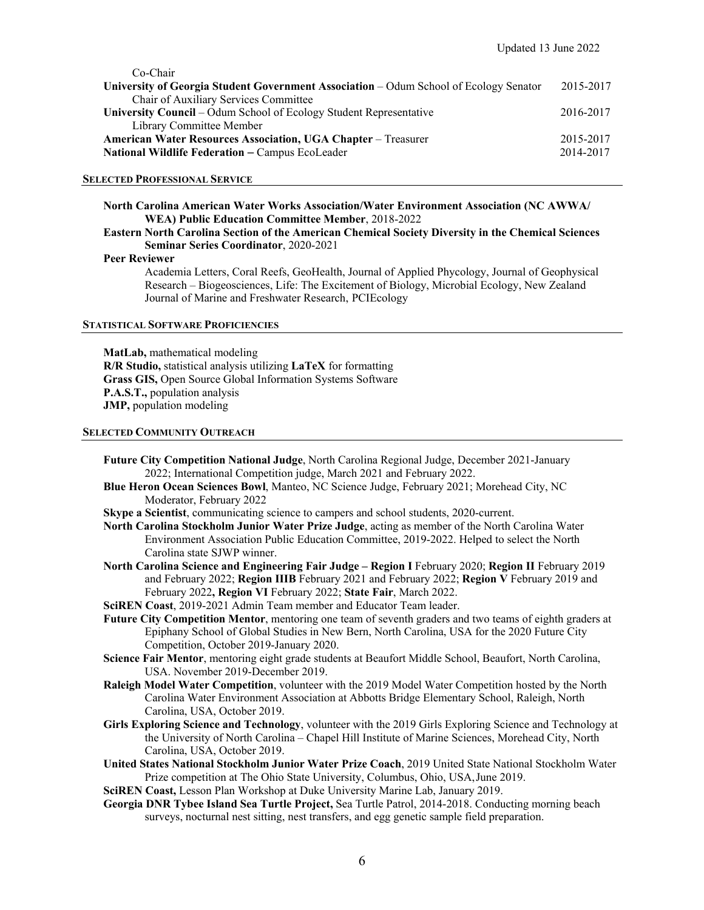| Co-Chair                                                                              |           |
|---------------------------------------------------------------------------------------|-----------|
| University of Georgia Student Government Association – Odum School of Ecology Senator | 2015-2017 |
| Chair of Auxiliary Services Committee                                                 |           |
| University Council – Odum School of Ecology Student Representative                    | 2016-2017 |
| Library Committee Member                                                              |           |
| <b>American Water Resources Association, UGA Chapter – Treasurer</b>                  | 2015-2017 |
| <b>National Wildlife Federation – Campus EcoLeader</b>                                | 2014-2017 |
|                                                                                       |           |

#### **SELECTED PROFESSIONAL SERVICE**

**North Carolina American Water Works Association/Water Environment Association (NC AWWA/ WEA) Public Education Committee Member**, 2018-2022

#### **Eastern North Carolina Section of the American Chemical Society Diversity in the Chemical Sciences Seminar Series Coordinator**, 2020-2021

#### **Peer Reviewer**

Academia Letters, Coral Reefs, GeoHealth, Journal of Applied Phycology, Journal of Geophysical Research – Biogeosciences, Life: The Excitement of Biology, Microbial Ecology, New Zealand Journal of Marine and Freshwater Research, PCIEcology

#### **STATISTICAL SOFTWARE PROFICIENCIES**

**MatLab,** mathematical modeling **R/R Studio,** statistical analysis utilizing **LaTeX** for formatting **Grass GIS,** Open Source Global Information Systems Software **P.A.S.T.,** population analysis **JMP,** population modeling

#### **SELECTED COMMUNITY OUTREACH**

- **Future City Competition National Judge**, North Carolina Regional Judge, December 2021-January 2022; International Competition judge, March 2021 and February 2022.
- **Blue Heron Ocean Sciences Bowl**, Manteo, NC Science Judge, February 2021; Morehead City, NC Moderator, February 2022
- **Skype a Scientist**, communicating science to campers and school students, 2020-current.
- **North Carolina Stockholm Junior Water Prize Judge**, acting as member of the North Carolina Water Environment Association Public Education Committee, 2019-2022. Helped to select the North Carolina state SJWP winner.
- **North Carolina Science and Engineering Fair Judge Region I** February 2020; **Region II** February 2019 and February 2022; **Region IIIB** February 2021 and February 2022; **Region V** February 2019 and February 2022**, Region VI** February 2022; **State Fair**, March 2022.
- **SciREN Coast**, 2019-2021 Admin Team member and Educator Team leader.
- **Future City Competition Mentor**, mentoring one team of seventh graders and two teams of eighth graders at Epiphany School of Global Studies in New Bern, North Carolina, USA for the 2020 Future City Competition, October 2019-January 2020.
- **Science Fair Mentor**, mentoring eight grade students at Beaufort Middle School, Beaufort, North Carolina, USA. November 2019-December 2019.
- **Raleigh Model Water Competition**, volunteer with the 2019 Model Water Competition hosted by the North Carolina Water Environment Association at Abbotts Bridge Elementary School, Raleigh, North Carolina, USA, October 2019.
- **Girls Exploring Science and Technology**, volunteer with the 2019 Girls Exploring Science and Technology at the University of North Carolina – Chapel Hill Institute of Marine Sciences, Morehead City, North Carolina, USA, October 2019.
- **United States National Stockholm Junior Water Prize Coach**, 2019 United State National Stockholm Water Prize competition at The Ohio State University, Columbus, Ohio, USA, June 2019.
- **SciREN Coast,** Lesson Plan Workshop at Duke University Marine Lab, January 2019.
- **Georgia DNR Tybee Island Sea Turtle Project,** Sea Turtle Patrol, 2014-2018. Conducting morning beach surveys, nocturnal nest sitting, nest transfers, and egg genetic sample field preparation.